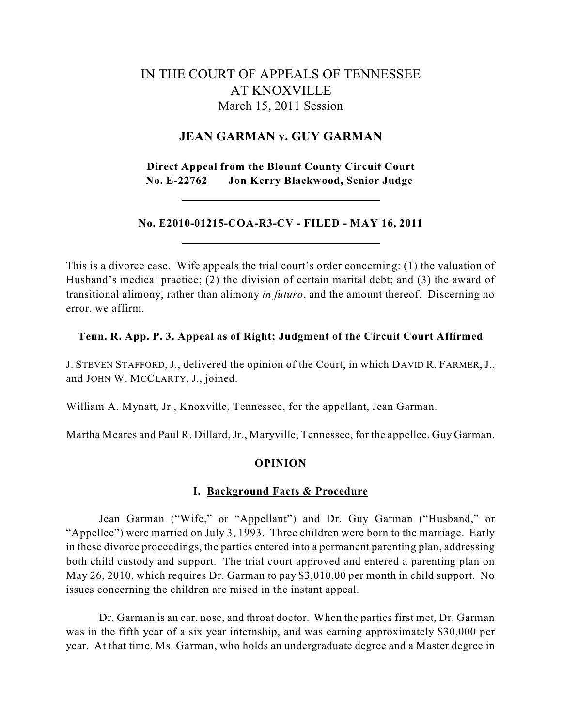# IN THE COURT OF APPEALS OF TENNESSEE AT KNOXVILLE March 15, 2011 Session

## **JEAN GARMAN v. GUY GARMAN**

**Direct Appeal from the Blount County Circuit Court No. E-22762 Jon Kerry Blackwood, Senior Judge**

## **No. E2010-01215-COA-R3-CV - FILED - MAY 16, 2011**

This is a divorce case. Wife appeals the trial court's order concerning: (1) the valuation of Husband's medical practice; (2) the division of certain marital debt; and (3) the award of transitional alimony, rather than alimony *in futuro*, and the amount thereof. Discerning no error, we affirm.

## **Tenn. R. App. P. 3. Appeal as of Right; Judgment of the Circuit Court Affirmed**

J. STEVEN STAFFORD, J., delivered the opinion of the Court, in which DAVID R. FARMER, J., and JOHN W. MCCLARTY, J., joined.

William A. Mynatt, Jr., Knoxville, Tennessee, for the appellant, Jean Garman.

Martha Meares and Paul R. Dillard, Jr., Maryville, Tennessee, for the appellee, Guy Garman.

## **OPINION**

## **I. Background Facts & Procedure**

Jean Garman ("Wife," or "Appellant") and Dr. Guy Garman ("Husband," or "Appellee") were married on July 3, 1993. Three children were born to the marriage. Early in these divorce proceedings, the parties entered into a permanent parenting plan, addressing both child custody and support. The trial court approved and entered a parenting plan on May 26, 2010, which requires Dr. Garman to pay \$3,010.00 per month in child support. No issues concerning the children are raised in the instant appeal.

Dr. Garman is an ear, nose, and throat doctor. When the parties first met, Dr. Garman was in the fifth year of a six year internship, and was earning approximately \$30,000 per year. At that time, Ms. Garman, who holds an undergraduate degree and a Master degree in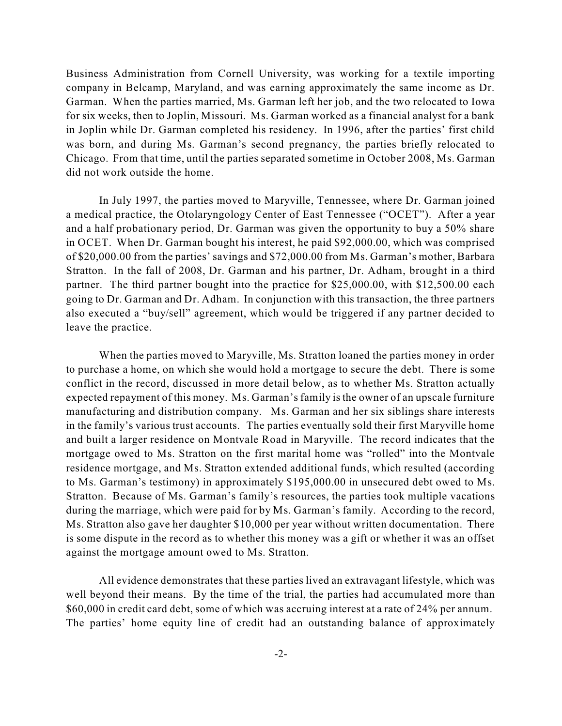Business Administration from Cornell University, was working for a textile importing company in Belcamp, Maryland, and was earning approximately the same income as Dr. Garman. When the parties married, Ms. Garman left her job, and the two relocated to Iowa for six weeks, then to Joplin, Missouri. Ms. Garman worked as a financial analyst for a bank in Joplin while Dr. Garman completed his residency. In 1996, after the parties' first child was born, and during Ms. Garman's second pregnancy, the parties briefly relocated to Chicago. From that time, until the parties separated sometime in October 2008, Ms. Garman did not work outside the home.

In July 1997, the parties moved to Maryville, Tennessee, where Dr. Garman joined a medical practice, the Otolaryngology Center of East Tennessee ("OCET"). After a year and a half probationary period, Dr. Garman was given the opportunity to buy a 50% share in OCET. When Dr. Garman bought his interest, he paid \$92,000.00, which was comprised of \$20,000.00 from the parties' savings and \$72,000.00 from Ms. Garman's mother, Barbara Stratton. In the fall of 2008, Dr. Garman and his partner, Dr. Adham, brought in a third partner. The third partner bought into the practice for \$25,000.00, with \$12,500.00 each going to Dr. Garman and Dr. Adham. In conjunction with this transaction, the three partners also executed a "buy/sell" agreement, which would be triggered if any partner decided to leave the practice.

When the parties moved to Maryville, Ms. Stratton loaned the parties money in order to purchase a home, on which she would hold a mortgage to secure the debt. There is some conflict in the record, discussed in more detail below, as to whether Ms. Stratton actually expected repayment of this money. Ms. Garman's family is the owner of an upscale furniture manufacturing and distribution company. Ms. Garman and her six siblings share interests in the family's various trust accounts. The parties eventually sold their first Maryville home and built a larger residence on Montvale Road in Maryville. The record indicates that the mortgage owed to Ms. Stratton on the first marital home was "rolled" into the Montvale residence mortgage, and Ms. Stratton extended additional funds, which resulted (according to Ms. Garman's testimony) in approximately \$195,000.00 in unsecured debt owed to Ms. Stratton. Because of Ms. Garman's family's resources, the parties took multiple vacations during the marriage, which were paid for by Ms. Garman's family. According to the record, Ms. Stratton also gave her daughter \$10,000 per year without written documentation. There is some dispute in the record as to whether this money was a gift or whether it was an offset against the mortgage amount owed to Ms. Stratton.

All evidence demonstrates that these parties lived an extravagant lifestyle, which was well beyond their means. By the time of the trial, the parties had accumulated more than \$60,000 in credit card debt, some of which was accruing interest at a rate of 24% per annum. The parties' home equity line of credit had an outstanding balance of approximately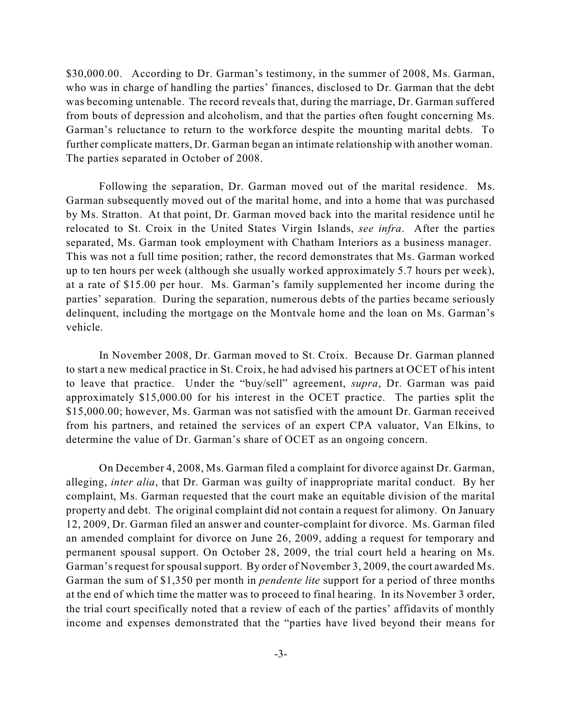\$30,000.00. According to Dr. Garman's testimony, in the summer of 2008, Ms. Garman, who was in charge of handling the parties' finances, disclosed to Dr. Garman that the debt was becoming untenable. The record reveals that, during the marriage, Dr. Garman suffered from bouts of depression and alcoholism, and that the parties often fought concerning Ms. Garman's reluctance to return to the workforce despite the mounting marital debts. To further complicate matters, Dr. Garman began an intimate relationship with another woman. The parties separated in October of 2008.

Following the separation, Dr. Garman moved out of the marital residence. Ms. Garman subsequently moved out of the marital home, and into a home that was purchased by Ms. Stratton. At that point, Dr. Garman moved back into the marital residence until he relocated to St. Croix in the United States Virgin Islands, *see infra*. After the parties separated, Ms. Garman took employment with Chatham Interiors as a business manager. This was not a full time position; rather, the record demonstrates that Ms. Garman worked up to ten hours per week (although she usually worked approximately 5.7 hours per week), at a rate of \$15.00 per hour. Ms. Garman's family supplemented her income during the parties' separation. During the separation, numerous debts of the parties became seriously delinquent, including the mortgage on the Montvale home and the loan on Ms. Garman's vehicle.

In November 2008, Dr. Garman moved to St. Croix. Because Dr. Garman planned to start a new medical practice in St. Croix, he had advised his partners at OCET of his intent to leave that practice. Under the "buy/sell" agreement, *supra*, Dr. Garman was paid approximately \$15,000.00 for his interest in the OCET practice. The parties split the \$15,000.00; however, Ms. Garman was not satisfied with the amount Dr. Garman received from his partners, and retained the services of an expert CPA valuator, Van Elkins, to determine the value of Dr. Garman's share of OCET as an ongoing concern.

On December 4, 2008, Ms. Garman filed a complaint for divorce against Dr. Garman, alleging, *inter alia*, that Dr. Garman was guilty of inappropriate marital conduct. By her complaint, Ms. Garman requested that the court make an equitable division of the marital property and debt. The original complaint did not contain a request for alimony. On January 12, 2009, Dr. Garman filed an answer and counter-complaint for divorce. Ms. Garman filed an amended complaint for divorce on June 26, 2009, adding a request for temporary and permanent spousal support. On October 28, 2009, the trial court held a hearing on Ms. Garman's request for spousal support. By order of November 3, 2009, the court awarded Ms. Garman the sum of \$1,350 per month in *pendente lite* support for a period of three months at the end of which time the matter was to proceed to final hearing. In its November 3 order, the trial court specifically noted that a review of each of the parties' affidavits of monthly income and expenses demonstrated that the "parties have lived beyond their means for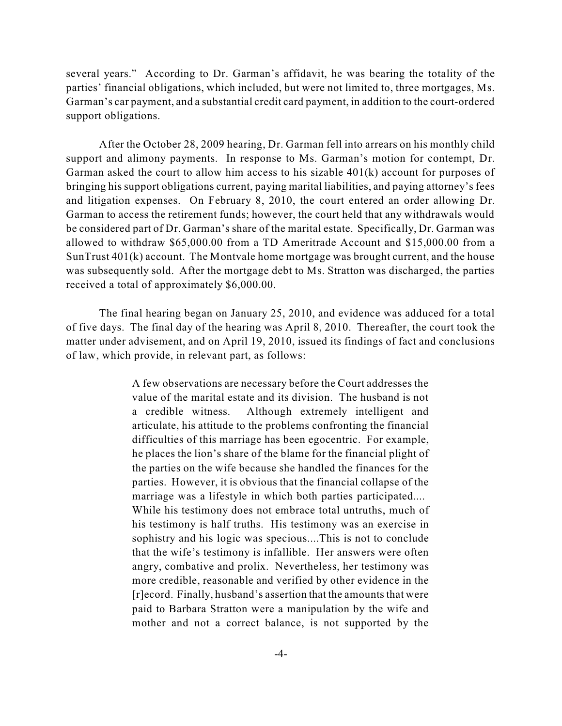several years." According to Dr. Garman's affidavit, he was bearing the totality of the parties' financial obligations, which included, but were not limited to, three mortgages, Ms. Garman's car payment, and a substantial credit card payment, in addition to the court-ordered support obligations.

After the October 28, 2009 hearing, Dr. Garman fell into arrears on his monthly child support and alimony payments. In response to Ms. Garman's motion for contempt, Dr. Garman asked the court to allow him access to his sizable 401(k) account for purposes of bringing his support obligations current, paying marital liabilities, and paying attorney's fees and litigation expenses. On February 8, 2010, the court entered an order allowing Dr. Garman to access the retirement funds; however, the court held that any withdrawals would be considered part of Dr. Garman's share of the marital estate. Specifically, Dr. Garman was allowed to withdraw \$65,000.00 from a TD Ameritrade Account and \$15,000.00 from a SunTrust 401(k) account. The Montvale home mortgage was brought current, and the house was subsequently sold. After the mortgage debt to Ms. Stratton was discharged, the parties received a total of approximately \$6,000.00.

The final hearing began on January 25, 2010, and evidence was adduced for a total of five days. The final day of the hearing was April 8, 2010. Thereafter, the court took the matter under advisement, and on April 19, 2010, issued its findings of fact and conclusions of law, which provide, in relevant part, as follows:

> A few observations are necessary before the Court addresses the value of the marital estate and its division. The husband is not a credible witness. Although extremely intelligent and articulate, his attitude to the problems confronting the financial difficulties of this marriage has been egocentric. For example, he places the lion's share of the blame for the financial plight of the parties on the wife because she handled the finances for the parties. However, it is obvious that the financial collapse of the marriage was a lifestyle in which both parties participated.... While his testimony does not embrace total untruths, much of his testimony is half truths. His testimony was an exercise in sophistry and his logic was specious....This is not to conclude that the wife's testimony is infallible. Her answers were often angry, combative and prolix. Nevertheless, her testimony was more credible, reasonable and verified by other evidence in the [r]ecord. Finally, husband's assertion that the amounts that were paid to Barbara Stratton were a manipulation by the wife and mother and not a correct balance, is not supported by the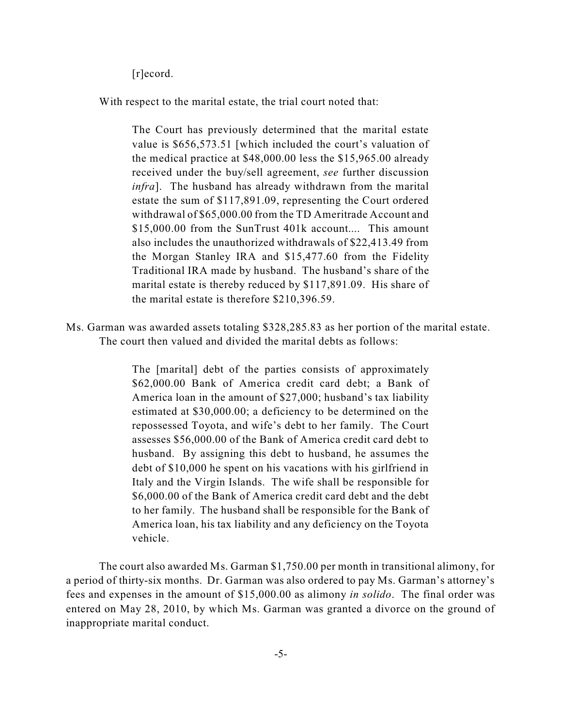[r]ecord.

With respect to the marital estate, the trial court noted that:

The Court has previously determined that the marital estate value is \$656,573.51 [which included the court's valuation of the medical practice at \$48,000.00 less the \$15,965.00 already received under the buy/sell agreement, *see* further discussion *infra*]. The husband has already withdrawn from the marital estate the sum of \$117,891.09, representing the Court ordered withdrawal of \$65,000.00 from the TD Ameritrade Account and \$15,000.00 from the SunTrust 401k account.... This amount also includes the unauthorized withdrawals of \$22,413.49 from the Morgan Stanley IRA and \$15,477.60 from the Fidelity Traditional IRA made by husband. The husband's share of the marital estate is thereby reduced by \$117,891.09. His share of the marital estate is therefore \$210,396.59.

Ms. Garman was awarded assets totaling \$328,285.83 as her portion of the marital estate. The court then valued and divided the marital debts as follows:

> The [marital] debt of the parties consists of approximately \$62,000.00 Bank of America credit card debt; a Bank of America loan in the amount of \$27,000; husband's tax liability estimated at \$30,000.00; a deficiency to be determined on the repossessed Toyota, and wife's debt to her family. The Court assesses \$56,000.00 of the Bank of America credit card debt to husband. By assigning this debt to husband, he assumes the debt of \$10,000 he spent on his vacations with his girlfriend in Italy and the Virgin Islands. The wife shall be responsible for \$6,000.00 of the Bank of America credit card debt and the debt to her family. The husband shall be responsible for the Bank of America loan, his tax liability and any deficiency on the Toyota vehicle.

The court also awarded Ms. Garman \$1,750.00 per month in transitional alimony, for a period of thirty-six months. Dr. Garman was also ordered to pay Ms. Garman's attorney's fees and expenses in the amount of \$15,000.00 as alimony *in solido*. The final order was entered on May 28, 2010, by which Ms. Garman was granted a divorce on the ground of inappropriate marital conduct.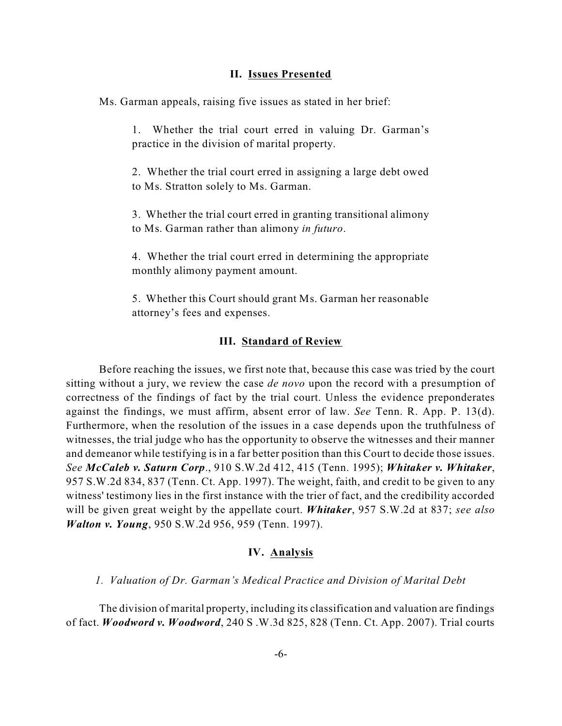#### **II. Issues Presented**

Ms. Garman appeals, raising five issues as stated in her brief:

1. Whether the trial court erred in valuing Dr. Garman's practice in the division of marital property.

2. Whether the trial court erred in assigning a large debt owed to Ms. Stratton solely to Ms. Garman.

3. Whether the trial court erred in granting transitional alimony to Ms. Garman rather than alimony *in futuro*.

4. Whether the trial court erred in determining the appropriate monthly alimony payment amount.

5. Whether this Court should grant Ms. Garman her reasonable attorney's fees and expenses.

#### **III. Standard of Review**

Before reaching the issues, we first note that, because this case was tried by the court sitting without a jury, we review the case *de novo* upon the record with a presumption of correctness of the findings of fact by the trial court. Unless the evidence preponderates against the findings, we must affirm, absent error of law. *See* Tenn. R. App. P. 13(d). Furthermore, when the resolution of the issues in a case depends upon the truthfulness of witnesses, the trial judge who has the opportunity to observe the witnesses and their manner and demeanor while testifying is in a far better position than this Court to decide those issues. *See McCaleb v. Saturn Corp*., 910 S.W.2d 412, 415 (Tenn. 1995); *Whitaker v. Whitaker*, 957 S.W.2d 834, 837 (Tenn. Ct. App. 1997). The weight, faith, and credit to be given to any witness' testimony lies in the first instance with the trier of fact, and the credibility accorded will be given great weight by the appellate court. *Whitaker*, 957 S.W.2d at 837; *see also Walton v. Young*, 950 S.W.2d 956, 959 (Tenn. 1997).

### **IV. Analysis**

## *1. Valuation of Dr. Garman's Medical Practice and Division of Marital Debt*

The division of marital property, including its classification and valuation are findings of fact. *Woodword v. Woodword*, 240 S .W.3d 825, 828 (Tenn. Ct. App. 2007). Trial courts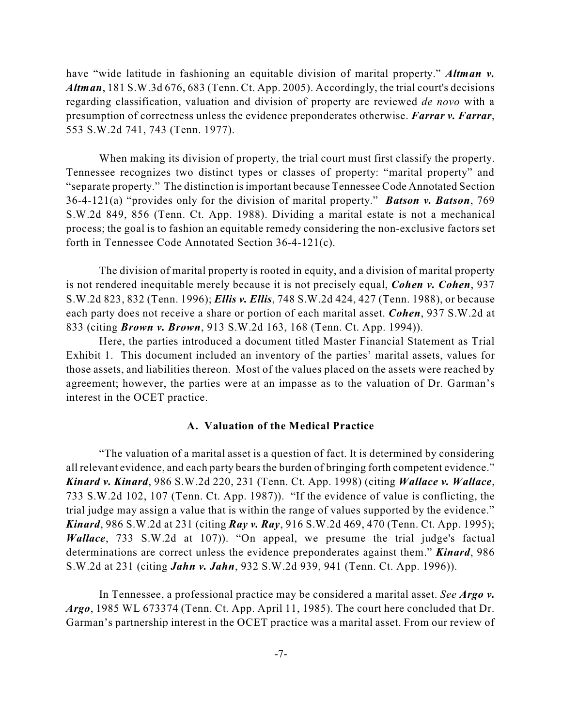have "wide latitude in fashioning an equitable division of marital property." *Altman v. Altman*, 181 S.W.3d 676, 683 (Tenn. Ct. App. 2005). Accordingly, the trial court's decisions regarding classification, valuation and division of property are reviewed *de novo* with a presumption of correctness unless the evidence preponderates otherwise. *Farrar v. Farrar*, 553 S.W.2d 741, 743 (Tenn. 1977).

When making its division of property, the trial court must first classify the property. Tennessee recognizes two distinct types or classes of property: "marital property" and "separate property." The distinction isimportant because Tennessee Code Annotated Section 36-4-121(a) "provides only for the division of marital property." *Batson v. Batson*, 769 S.W.2d 849, 856 (Tenn. Ct. App. 1988). Dividing a marital estate is not a mechanical process; the goal is to fashion an equitable remedy considering the non-exclusive factors set forth in Tennessee Code Annotated Section 36-4-121(c).

The division of marital property is rooted in equity, and a division of marital property is not rendered inequitable merely because it is not precisely equal, *Cohen v. Cohen*, 937 S.W.2d 823, 832 (Tenn. 1996); *Ellis v. Ellis*, 748 S.W.2d 424, 427 (Tenn. 1988), or because each party does not receive a share or portion of each marital asset. *Cohen*, 937 S.W.2d at 833 (citing *Brown v. Brown*, 913 S.W.2d 163, 168 (Tenn. Ct. App. 1994)).

Here, the parties introduced a document titled Master Financial Statement as Trial Exhibit 1. This document included an inventory of the parties' marital assets, values for those assets, and liabilities thereon. Most of the values placed on the assets were reached by agreement; however, the parties were at an impasse as to the valuation of Dr. Garman's interest in the OCET practice.

## **A. Valuation of the Medical Practice**

"The valuation of a marital asset is a question of fact. It is determined by considering all relevant evidence, and each party bears the burden of bringing forth competent evidence." *Kinard v. Kinard*, 986 S.W.2d 220, 231 (Tenn. Ct. App. 1998) (citing *Wallace v. Wallace*, 733 S.W.2d 102, 107 (Tenn. Ct. App. 1987)). "If the evidence of value is conflicting, the trial judge may assign a value that is within the range of values supported by the evidence." *Kinard*, 986 S.W.2d at 231 (citing *Ray v. Ray*, 916 S.W.2d 469, 470 (Tenn. Ct. App. 1995); *Wallace*, 733 S.W.2d at 107). "On appeal, we presume the trial judge's factual determinations are correct unless the evidence preponderates against them." *Kinard*, 986 S.W.2d at 231 (citing *Jahn v. Jahn*, 932 S.W.2d 939, 941 (Tenn. Ct. App. 1996)).

In Tennessee, a professional practice may be considered a marital asset. *See Argo v. Argo*, 1985 WL 673374 (Tenn. Ct. App. April 11, 1985). The court here concluded that Dr. Garman's partnership interest in the OCET practice was a marital asset. From our review of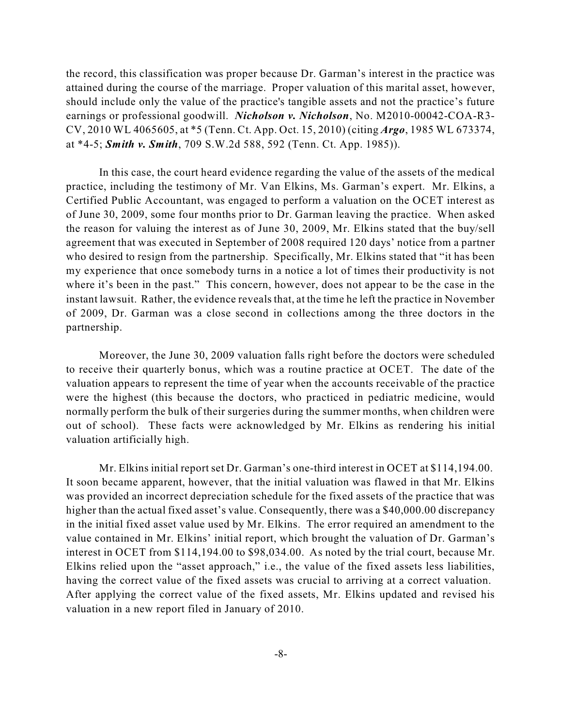the record, this classification was proper because Dr. Garman's interest in the practice was attained during the course of the marriage. Proper valuation of this marital asset, however, should include only the value of the practice's tangible assets and not the practice's future earnings or professional goodwill. *Nicholson v. Nicholson*, No. M2010-00042-COA-R3- CV, 2010 WL 4065605, at \*5 (Tenn. Ct. App. Oct. 15, 2010) (citing *Argo*, 1985 WL 673374, at \*4-5; *Smith v. Smith*, 709 S.W.2d 588, 592 (Tenn. Ct. App. 1985)).

In this case, the court heard evidence regarding the value of the assets of the medical practice, including the testimony of Mr. Van Elkins, Ms. Garman's expert. Mr. Elkins, a Certified Public Accountant, was engaged to perform a valuation on the OCET interest as of June 30, 2009, some four months prior to Dr. Garman leaving the practice. When asked the reason for valuing the interest as of June 30, 2009, Mr. Elkins stated that the buy/sell agreement that was executed in September of 2008 required 120 days' notice from a partner who desired to resign from the partnership. Specifically, Mr. Elkins stated that "it has been my experience that once somebody turns in a notice a lot of times their productivity is not where it's been in the past." This concern, however, does not appear to be the case in the instant lawsuit. Rather, the evidence reveals that, at the time he left the practice in November of 2009, Dr. Garman was a close second in collections among the three doctors in the partnership.

Moreover, the June 30, 2009 valuation falls right before the doctors were scheduled to receive their quarterly bonus, which was a routine practice at OCET. The date of the valuation appears to represent the time of year when the accounts receivable of the practice were the highest (this because the doctors, who practiced in pediatric medicine, would normally perform the bulk of their surgeries during the summer months, when children were out of school). These facts were acknowledged by Mr. Elkins as rendering his initial valuation artificially high.

Mr. Elkins initial report set Dr. Garman's one-third interest in OCET at \$114,194.00. It soon became apparent, however, that the initial valuation was flawed in that Mr. Elkins was provided an incorrect depreciation schedule for the fixed assets of the practice that was higher than the actual fixed asset's value. Consequently, there was a \$40,000.00 discrepancy in the initial fixed asset value used by Mr. Elkins. The error required an amendment to the value contained in Mr. Elkins' initial report, which brought the valuation of Dr. Garman's interest in OCET from \$114,194.00 to \$98,034.00. As noted by the trial court, because Mr. Elkins relied upon the "asset approach," i.e., the value of the fixed assets less liabilities, having the correct value of the fixed assets was crucial to arriving at a correct valuation. After applying the correct value of the fixed assets, Mr. Elkins updated and revised his valuation in a new report filed in January of 2010.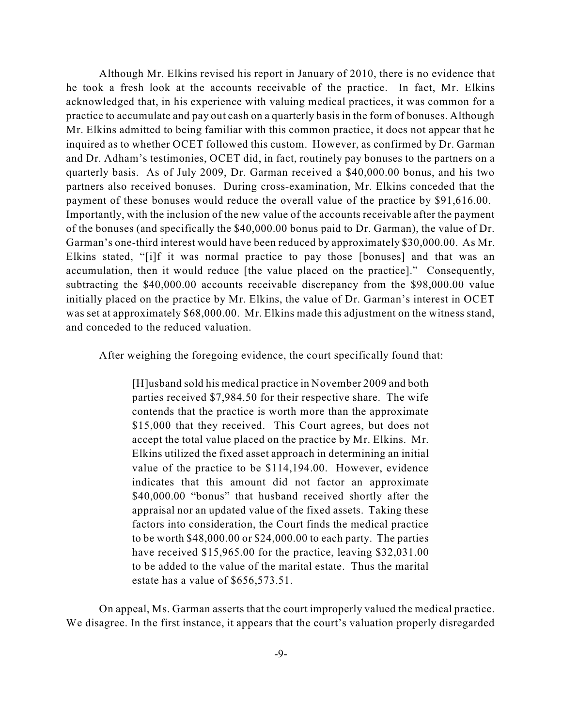Although Mr. Elkins revised his report in January of 2010, there is no evidence that he took a fresh look at the accounts receivable of the practice. In fact, Mr. Elkins acknowledged that, in his experience with valuing medical practices, it was common for a practice to accumulate and pay out cash on a quarterly basis in the form of bonuses. Although Mr. Elkins admitted to being familiar with this common practice, it does not appear that he inquired as to whether OCET followed this custom. However, as confirmed by Dr. Garman and Dr. Adham's testimonies, OCET did, in fact, routinely pay bonuses to the partners on a quarterly basis. As of July 2009, Dr. Garman received a \$40,000.00 bonus, and his two partners also received bonuses. During cross-examination, Mr. Elkins conceded that the payment of these bonuses would reduce the overall value of the practice by \$91,616.00. Importantly, with the inclusion of the new value of the accounts receivable after the payment of the bonuses (and specifically the \$40,000.00 bonus paid to Dr. Garman), the value of Dr. Garman's one-third interest would have been reduced by approximately \$30,000.00. As Mr. Elkins stated, "[i]f it was normal practice to pay those [bonuses] and that was an accumulation, then it would reduce [the value placed on the practice]." Consequently, subtracting the \$40,000.00 accounts receivable discrepancy from the \$98,000.00 value initially placed on the practice by Mr. Elkins, the value of Dr. Garman's interest in OCET was set at approximately \$68,000.00. Mr. Elkins made this adjustment on the witness stand, and conceded to the reduced valuation.

After weighing the foregoing evidence, the court specifically found that:

[H]usband sold his medical practice in November 2009 and both parties received \$7,984.50 for their respective share. The wife contends that the practice is worth more than the approximate \$15,000 that they received. This Court agrees, but does not accept the total value placed on the practice by Mr. Elkins. Mr. Elkins utilized the fixed asset approach in determining an initial value of the practice to be \$114,194.00. However, evidence indicates that this amount did not factor an approximate \$40,000.00 "bonus" that husband received shortly after the appraisal nor an updated value of the fixed assets. Taking these factors into consideration, the Court finds the medical practice to be worth \$48,000.00 or \$24,000.00 to each party. The parties have received \$15,965.00 for the practice, leaving \$32,031.00 to be added to the value of the marital estate. Thus the marital estate has a value of \$656,573.51.

On appeal, Ms. Garman asserts that the court improperly valued the medical practice. We disagree. In the first instance, it appears that the court's valuation properly disregarded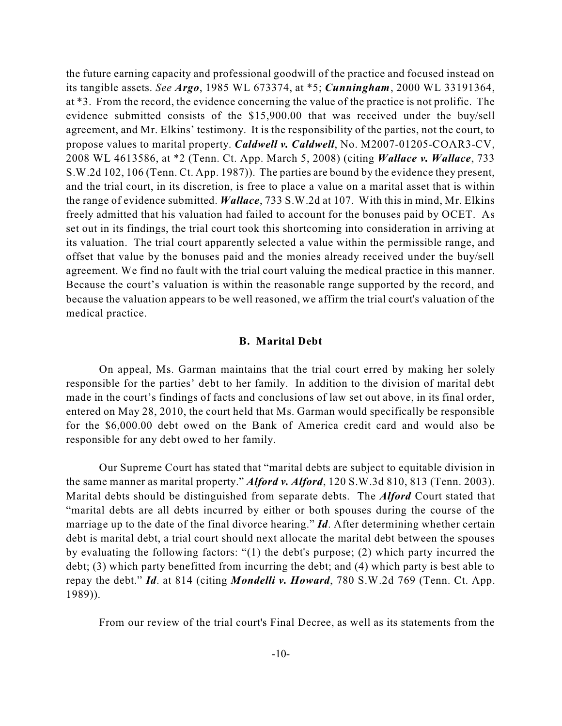the future earning capacity and professional goodwill of the practice and focused instead on its tangible assets. *See Argo*, 1985 WL 673374, at \*5; *Cunningham*, 2000 WL 33191364, at \*3. From the record, the evidence concerning the value of the practice is not prolific. The evidence submitted consists of the \$15,900.00 that was received under the buy/sell agreement, and Mr. Elkins' testimony. It is the responsibility of the parties, not the court, to propose values to marital property. *Caldwell v. Caldwell*, No. M2007-01205-COAR3-CV, 2008 WL 4613586, at \*2 (Tenn. Ct. App. March 5, 2008) (citing *Wallace v. Wallace*, 733 S.W.2d 102, 106 (Tenn. Ct. App. 1987)). The parties are bound by the evidence they present, and the trial court, in its discretion, is free to place a value on a marital asset that is within the range of evidence submitted. *Wallace*, 733 S.W.2d at 107. With this in mind, Mr. Elkins freely admitted that his valuation had failed to account for the bonuses paid by OCET. As set out in its findings, the trial court took this shortcoming into consideration in arriving at its valuation. The trial court apparently selected a value within the permissible range, and offset that value by the bonuses paid and the monies already received under the buy/sell agreement. We find no fault with the trial court valuing the medical practice in this manner. Because the court's valuation is within the reasonable range supported by the record, and because the valuation appears to be well reasoned, we affirm the trial court's valuation of the medical practice.

#### **B. Marital Debt**

On appeal, Ms. Garman maintains that the trial court erred by making her solely responsible for the parties' debt to her family. In addition to the division of marital debt made in the court's findings of facts and conclusions of law set out above, in its final order, entered on May 28, 2010, the court held that Ms. Garman would specifically be responsible for the \$6,000.00 debt owed on the Bank of America credit card and would also be responsible for any debt owed to her family.

Our Supreme Court has stated that "marital debts are subject to equitable division in the same manner as marital property." *Alford v. Alford*, 120 S.W.3d 810, 813 (Tenn. 2003). Marital debts should be distinguished from separate debts. The *Alford* Court stated that "marital debts are all debts incurred by either or both spouses during the course of the marriage up to the date of the final divorce hearing." *Id*. After determining whether certain debt is marital debt, a trial court should next allocate the marital debt between the spouses by evaluating the following factors: "(1) the debt's purpose; (2) which party incurred the debt; (3) which party benefitted from incurring the debt; and (4) which party is best able to repay the debt." *Id*. at 814 (citing *Mondelli v. Howard*, 780 S.W.2d 769 (Tenn. Ct. App. 1989)).

From our review of the trial court's Final Decree, as well as its statements from the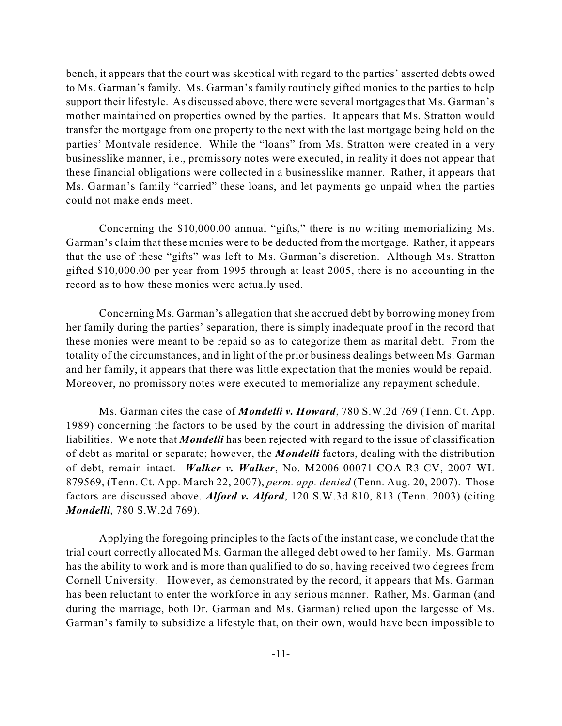bench, it appears that the court was skeptical with regard to the parties' asserted debts owed to Ms. Garman's family. Ms. Garman's family routinely gifted monies to the parties to help support their lifestyle. As discussed above, there were several mortgages that Ms. Garman's mother maintained on properties owned by the parties. It appears that Ms. Stratton would transfer the mortgage from one property to the next with the last mortgage being held on the parties' Montvale residence. While the "loans" from Ms. Stratton were created in a very businesslike manner, i.e., promissory notes were executed, in reality it does not appear that these financial obligations were collected in a businesslike manner. Rather, it appears that Ms. Garman's family "carried" these loans, and let payments go unpaid when the parties could not make ends meet.

Concerning the \$10,000.00 annual "gifts," there is no writing memorializing Ms. Garman's claim that these monies were to be deducted from the mortgage. Rather, it appears that the use of these "gifts" was left to Ms. Garman's discretion. Although Ms. Stratton gifted \$10,000.00 per year from 1995 through at least 2005, there is no accounting in the record as to how these monies were actually used.

Concerning Ms. Garman's allegation that she accrued debt by borrowing money from her family during the parties' separation, there is simply inadequate proof in the record that these monies were meant to be repaid so as to categorize them as marital debt. From the totality of the circumstances, and in light of the prior business dealings between Ms. Garman and her family, it appears that there was little expectation that the monies would be repaid. Moreover, no promissory notes were executed to memorialize any repayment schedule.

Ms. Garman cites the case of *Mondelli v. Howard*, 780 S.W.2d 769 (Tenn. Ct. App. 1989) concerning the factors to be used by the court in addressing the division of marital liabilities. We note that *Mondelli* has been rejected with regard to the issue of classification of debt as marital or separate; however, the *Mondelli* factors, dealing with the distribution of debt, remain intact. *Walker v. Walker*, No. M2006-00071-COA-R3-CV, 2007 WL 879569, (Tenn. Ct. App. March 22, 2007), *perm. app. denied* (Tenn. Aug. 20, 2007). Those factors are discussed above. *Alford v. Alford*, 120 S.W.3d 810, 813 (Tenn. 2003) (citing *Mondelli*, 780 S.W.2d 769).

Applying the foregoing principles to the facts of the instant case, we conclude that the trial court correctly allocated Ms. Garman the alleged debt owed to her family. Ms. Garman has the ability to work and is more than qualified to do so, having received two degrees from Cornell University. However, as demonstrated by the record, it appears that Ms. Garman has been reluctant to enter the workforce in any serious manner. Rather, Ms. Garman (and during the marriage, both Dr. Garman and Ms. Garman) relied upon the largesse of Ms. Garman's family to subsidize a lifestyle that, on their own, would have been impossible to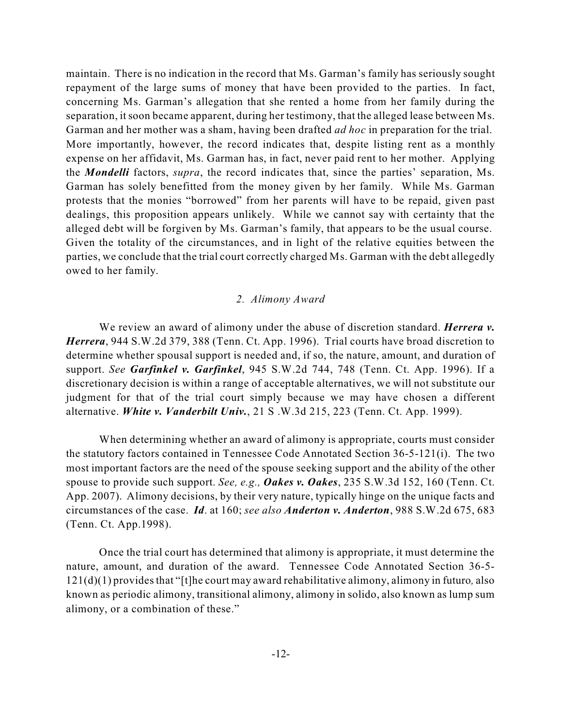maintain. There is no indication in the record that Ms. Garman's family has seriously sought repayment of the large sums of money that have been provided to the parties. In fact, concerning Ms. Garman's allegation that she rented a home from her family during the separation, it soon became apparent, during her testimony, that the alleged lease between Ms. Garman and her mother was a sham, having been drafted *ad hoc* in preparation for the trial. More importantly, however, the record indicates that, despite listing rent as a monthly expense on her affidavit, Ms. Garman has, in fact, never paid rent to her mother. Applying the *Mondelli* factors, *supra*, the record indicates that, since the parties' separation, Ms. Garman has solely benefitted from the money given by her family. While Ms. Garman protests that the monies "borrowed" from her parents will have to be repaid, given past dealings, this proposition appears unlikely. While we cannot say with certainty that the alleged debt will be forgiven by Ms. Garman's family, that appears to be the usual course. Given the totality of the circumstances, and in light of the relative equities between the parties, we conclude that the trial court correctly charged Ms. Garman with the debt allegedly owed to her family.

## *2. Alimony Award*

We review an award of alimony under the abuse of discretion standard. *Herrera v. Herrera*, 944 S.W.2d 379, 388 (Tenn. Ct. App. 1996). Trial courts have broad discretion to determine whether spousal support is needed and, if so, the nature, amount, and duration of support. *See Garfinkel v. Garfinkel*, 945 S.W.2d 744, 748 (Tenn. Ct. App. 1996). If a discretionary decision is within a range of acceptable alternatives, we will not substitute our judgment for that of the trial court simply because we may have chosen a different alternative. *White v. Vanderbilt Univ.*, 21 S .W.3d 215, 223 (Tenn. Ct. App. 1999).

When determining whether an award of alimony is appropriate, courts must consider the statutory factors contained in Tennessee Code Annotated Section 36-5-121(i). The two most important factors are the need of the spouse seeking support and the ability of the other spouse to provide such support. *See, e.g., Oakes v. Oakes*, 235 S.W.3d 152, 160 (Tenn. Ct. App. 2007). Alimony decisions, by their very nature, typically hinge on the unique facts and circumstances of the case. *Id*. at 160; *see also Anderton v. Anderton*, 988 S.W.2d 675, 683 (Tenn. Ct. App.1998).

Once the trial court has determined that alimony is appropriate, it must determine the nature, amount, and duration of the award. Tennessee Code Annotated Section 36-5- 121(d)(1) providesthat "[t]he court may award rehabilitative alimony, alimony in futuro*,* also known as periodic alimony, transitional alimony, alimony in solido, also known as lump sum alimony, or a combination of these."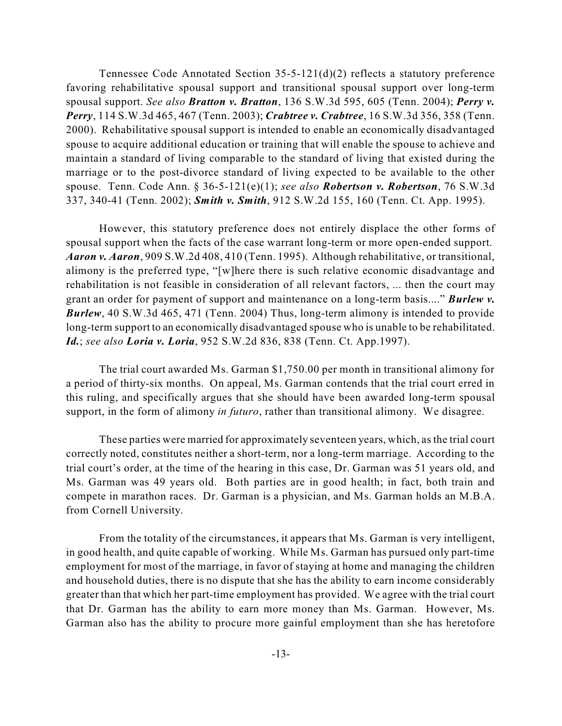Tennessee Code Annotated Section 35-5-121(d)(2) reflects a statutory preference favoring rehabilitative spousal support and transitional spousal support over long-term spousal support. *See also Bratton v. Bratton*, 136 S.W.3d 595, 605 (Tenn. 2004); *Perry v. Perry*, 114 S.W.3d 465, 467 (Tenn. 2003); *Crabtree v. Crabtree*, 16 S.W.3d 356, 358 (Tenn. 2000). Rehabilitative spousal support is intended to enable an economically disadvantaged spouse to acquire additional education or training that will enable the spouse to achieve and maintain a standard of living comparable to the standard of living that existed during the marriage or to the post-divorce standard of living expected to be available to the other spouse. Tenn. Code Ann. § 36-5-121(e)(1); *see also Robertson v. Robertson*, 76 S.W.3d 337, 340-41 (Tenn. 2002); *Smith v. Smith*, 912 S.W.2d 155, 160 (Tenn. Ct. App. 1995).

However, this statutory preference does not entirely displace the other forms of spousal support when the facts of the case warrant long-term or more open-ended support. *Aaron v. Aaron*, 909 S.W.2d 408, 410 (Tenn. 1995). Although rehabilitative, or transitional, alimony is the preferred type, "[w]here there is such relative economic disadvantage and rehabilitation is not feasible in consideration of all relevant factors, ... then the court may grant an order for payment of support and maintenance on a long-term basis...." *Burlew v. Burlew*, 40 S.W.3d 465, 471 (Tenn. 2004) Thus, long-term alimony is intended to provide long-term support to an economically disadvantaged spouse who is unable to be rehabilitated. *Id.*; *see also Loria v. Loria*, 952 S.W.2d 836, 838 (Tenn. Ct. App.1997).

The trial court awarded Ms. Garman \$1,750.00 per month in transitional alimony for a period of thirty-six months. On appeal, Ms. Garman contends that the trial court erred in this ruling, and specifically argues that she should have been awarded long-term spousal support, in the form of alimony *in futuro*, rather than transitional alimony. We disagree.

These parties were married for approximately seventeen years, which, asthe trial court correctly noted, constitutes neither a short-term, nor a long-term marriage. According to the trial court's order, at the time of the hearing in this case, Dr. Garman was 51 years old, and Ms. Garman was 49 years old. Both parties are in good health; in fact, both train and compete in marathon races. Dr. Garman is a physician, and Ms. Garman holds an M.B.A. from Cornell University.

From the totality of the circumstances, it appears that Ms. Garman is very intelligent, in good health, and quite capable of working. While Ms. Garman has pursued only part-time employment for most of the marriage, in favor of staying at home and managing the children and household duties, there is no dispute that she has the ability to earn income considerably greater than that which her part-time employment has provided. We agree with the trial court that Dr. Garman has the ability to earn more money than Ms. Garman. However, Ms. Garman also has the ability to procure more gainful employment than she has heretofore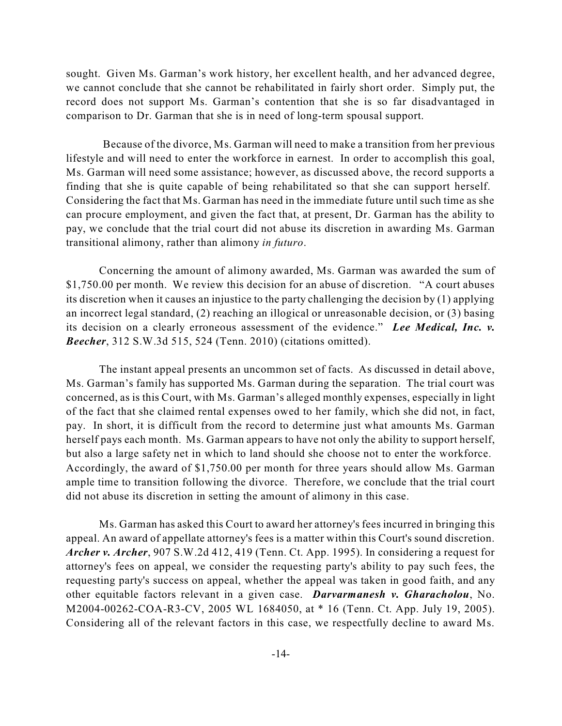sought. Given Ms. Garman's work history, her excellent health, and her advanced degree, we cannot conclude that she cannot be rehabilitated in fairly short order. Simply put, the record does not support Ms. Garman's contention that she is so far disadvantaged in comparison to Dr. Garman that she is in need of long-term spousal support.

Because of the divorce, Ms. Garman will need to make a transition from her previous lifestyle and will need to enter the workforce in earnest. In order to accomplish this goal, Ms. Garman will need some assistance; however, as discussed above, the record supports a finding that she is quite capable of being rehabilitated so that she can support herself. Considering the fact that Ms. Garman has need in the immediate future until such time as she can procure employment, and given the fact that, at present, Dr. Garman has the ability to pay, we conclude that the trial court did not abuse its discretion in awarding Ms. Garman transitional alimony, rather than alimony *in futuro*.

Concerning the amount of alimony awarded, Ms. Garman was awarded the sum of \$1,750.00 per month. We review this decision for an abuse of discretion. "A court abuses its discretion when it causes an injustice to the party challenging the decision by (1) applying an incorrect legal standard, (2) reaching an illogical or unreasonable decision, or (3) basing its decision on a clearly erroneous assessment of the evidence." *Lee Medical, Inc. v. Beecher*, 312 S.W.3d 515, 524 (Tenn. 2010) (citations omitted).

The instant appeal presents an uncommon set of facts. As discussed in detail above, Ms. Garman's family has supported Ms. Garman during the separation. The trial court was concerned, as is this Court, with Ms. Garman's alleged monthly expenses, especially in light of the fact that she claimed rental expenses owed to her family, which she did not, in fact, pay. In short, it is difficult from the record to determine just what amounts Ms. Garman herself pays each month. Ms. Garman appears to have not only the ability to support herself, but also a large safety net in which to land should she choose not to enter the workforce. Accordingly, the award of \$1,750.00 per month for three years should allow Ms. Garman ample time to transition following the divorce. Therefore, we conclude that the trial court did not abuse its discretion in setting the amount of alimony in this case.

Ms. Garman has asked this Court to award her attorney's fees incurred in bringing this appeal. An award of appellate attorney's fees is a matter within this Court's sound discretion. *Archer v. Archer*, 907 S.W.2d 412, 419 (Tenn. Ct. App. 1995). In considering a request for attorney's fees on appeal, we consider the requesting party's ability to pay such fees, the requesting party's success on appeal, whether the appeal was taken in good faith, and any other equitable factors relevant in a given case. *Darvarmanesh v. Gharacholou*, No. M2004-00262-COA-R3-CV, 2005 WL 1684050, at \* 16 (Tenn. Ct. App. July 19, 2005). Considering all of the relevant factors in this case, we respectfully decline to award Ms.